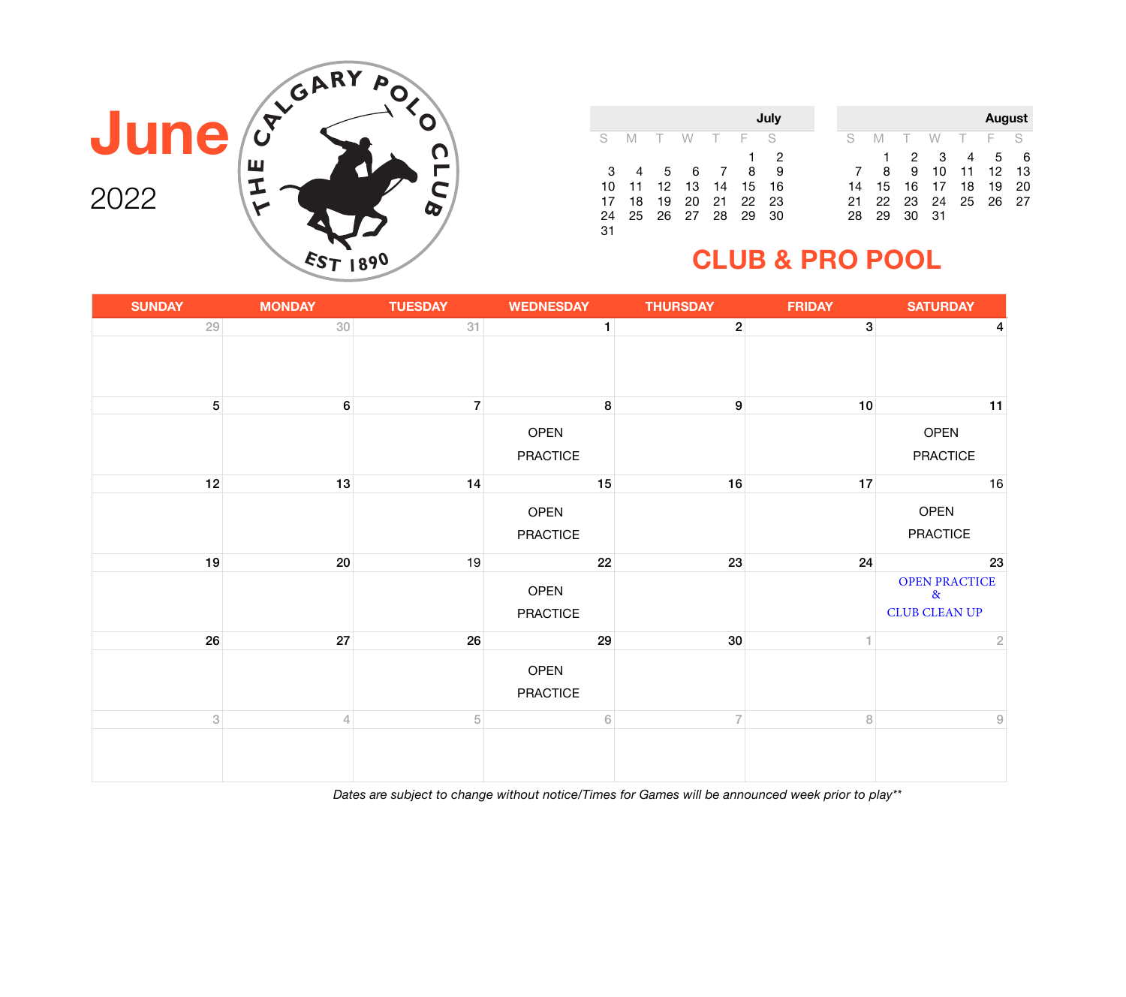|    |    |    |                |                |             | July |    |    |
|----|----|----|----------------|----------------|-------------|------|----|----|
| S  | M  |    | T W T F S      |                |             |      | S  | M  |
|    |    |    |                |                |             | 2    |    |    |
| -3 | -4 |    | 5 6            | $\overline{7}$ | -8          | 9    | 7  | 8  |
| 10 |    |    | 11  12  13  14 |                | 15          | 16   | 14 | 15 |
| 17 | 18 | 19 |                |                | 20 21 22 23 |      | 21 | 22 |
| 24 | 25 |    | 26 27 28       |                | -29         | 30   | 28 | 29 |
| 31 |    |    |                |                |             |      |    |    |

|    |    |    |    |        | <b>August</b> |    |
|----|----|----|----|--------|---------------|----|
| S  | NЛ |    | W  | $\top$ | E             | S  |
|    |    | 2  | З  |        | 5             | 6  |
|    | 8  | 9  | 10 | 11     | 12            | 13 |
| 14 | 15 | 16 | 17 | 18     | 19            | 20 |
| 21 | 22 | 23 | 24 | 25     | 26            | 27 |
| 28 | 29 | 30 | 31 |        |               |    |

### **CLUB & PRO POOL**



| <b>SUNDAY</b>             | <b>MONDAY</b>        | <b>TUESDAY</b> | <b>WEDNESDAY</b>        | <b>THURSDAY</b> | <b>FRIDAY</b> | <b>SATURDAY</b>                                                       |  |
|---------------------------|----------------------|----------------|-------------------------|-----------------|---------------|-----------------------------------------------------------------------|--|
| 29                        | 30                   | 31             | $\mathbf{1}$            | $\mathbf{2}$    | 3             | 4                                                                     |  |
|                           |                      |                |                         |                 |               |                                                                       |  |
| 5 <sup>5</sup>            | $6 \overline{6}$     | $\overline{7}$ | 8                       | 9               | 10            | 11                                                                    |  |
|                           |                      |                | OPEN<br><b>PRACTICE</b> |                 |               | OPEN<br>PRACTICE                                                      |  |
| 12                        | 13                   | 14             | 15                      | 16              | 17            | 16                                                                    |  |
|                           |                      |                | OPEN<br><b>PRACTICE</b> |                 |               | OPEN<br><b>PRACTICE</b>                                               |  |
| 19                        | 20                   | 19             | 22                      | 23              | 24            | 23                                                                    |  |
|                           |                      |                | OPEN<br><b>PRACTICE</b> |                 |               | <b>OPEN PRACTICE</b><br>$\boldsymbol{\alpha}$<br><b>CLUB CLEAN UP</b> |  |
| 26                        | $27\,$               | 26             | 29                      | 30 <sup>°</sup> |               | $\sqrt{2}$                                                            |  |
|                           |                      |                | OPEN<br><b>PRACTICE</b> |                 |               |                                                                       |  |
| $\ensuremath{\mathsf{3}}$ | $\sqrt{\phantom{a}}$ | $\,$ 5 $\,$    | $\sqrt{6}$              | $\overline{7}$  | $\, 8$        | $\hbox{9}$                                                            |  |
|                           |                      |                |                         |                 |               |                                                                       |  |

*Dates are subject to change without notice/Times for Games will be announced week prior to play\*\**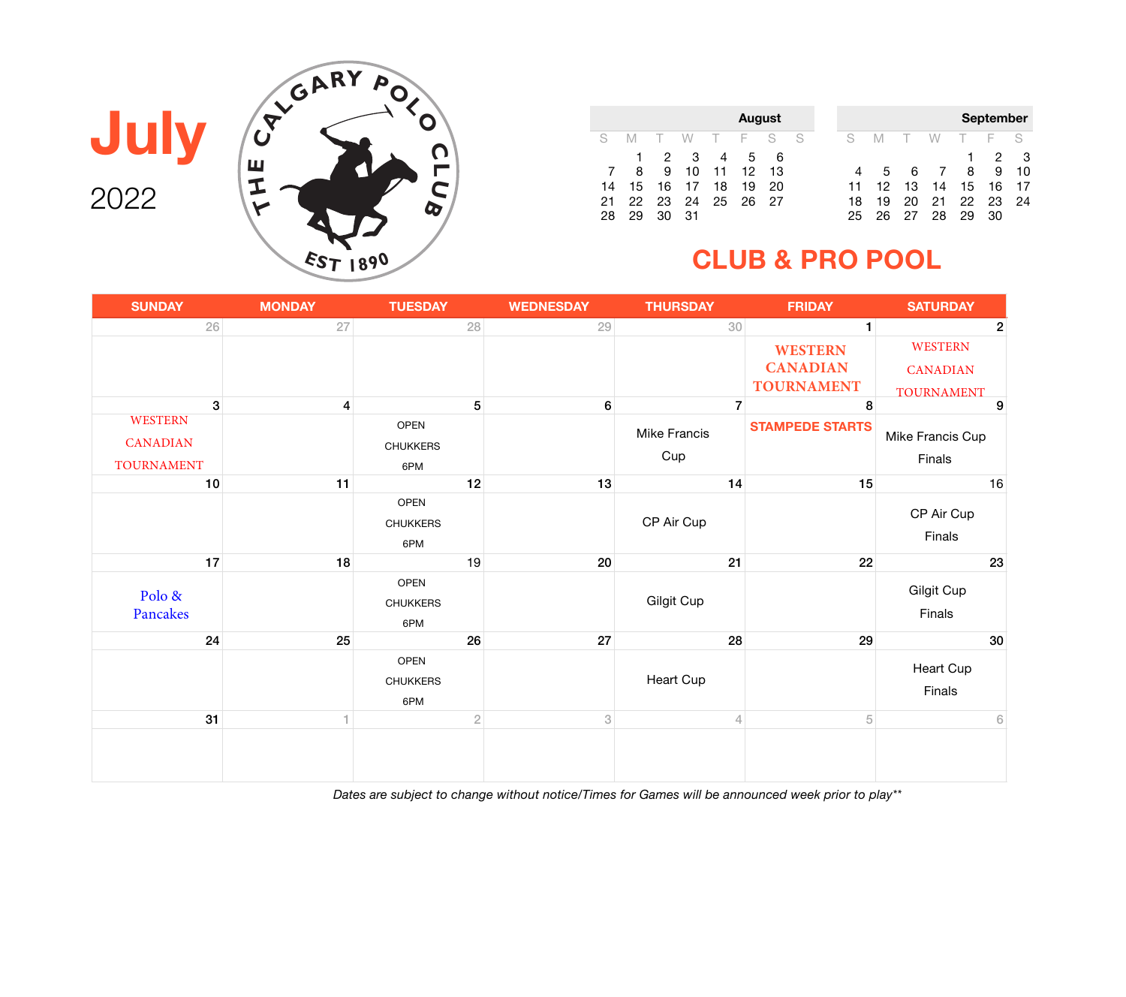

|              |              |     |             |                | <b>August</b> |     |  |     |    |    |       |    | <b>September</b> |     |
|--------------|--------------|-----|-------------|----------------|---------------|-----|--|-----|----|----|-------|----|------------------|-----|
| S.           | M            |     | W           |                | T F S S       |     |  | S - | M  |    | TWTFS |    |                  |     |
|              | $\mathbf{1}$ |     | $2 \quad 3$ | $\overline{4}$ |               | 5 6 |  |     |    |    |       | 1. | 2                | - 3 |
| <sup>7</sup> | -8           | 9   | 10          | - 11           | 12            | -13 |  |     | 5  |    | 67    | 8  | 9                | -10 |
| 14           | -15          | 16  | 17          | 18             | 19            | 20  |  | 11  | 12 | 13 | 14    | 15 | 16               | -17 |
| 21           | 22           | -23 |             |                | 24 25 26 27   |     |  | 18. | 19 | 20 | 21    |    | 22 23 24         |     |
| 28           | 29           | 30  | 31          |                |               |     |  | 25  | 26 | 27 | 28    | 29 | 30               |     |

### **CLUB & PRO POOL**

| <b>SUNDAY</b>                     | <b>MONDAY</b>           | <b>TUESDAY</b>                        | <b>WEDNESDAY</b>          | <b>THURSDAY</b>   | <b>FRIDAY</b>          | <b>SATURDAY</b>             |
|-----------------------------------|-------------------------|---------------------------------------|---------------------------|-------------------|------------------------|-----------------------------|
| 26                                | 27                      | 28                                    | 29                        | 30                | $\mathbf{1}$           | $\overline{2}$              |
|                                   |                         |                                       |                           |                   | <b>WESTERN</b>         | WESTERN                     |
|                                   |                         |                                       |                           |                   | <b>CANADIAN</b>        | <b>CANADIAN</b>             |
|                                   |                         |                                       |                           |                   | <b>TOURNAMENT</b>      | <b>TOURNAMENT</b>           |
| 3                                 | $\overline{\mathbf{4}}$ | 5                                     | $\bf 6$                   | $\overline{7}$    | 8                      | $\boldsymbol{9}$            |
| <b>WESTERN</b><br><b>CANADIAN</b> |                         | <b>OPEN</b>                           |                           | Mike Francis      | <b>STAMPEDE STARTS</b> | Mike Francis Cup            |
| <b>TOURNAMENT</b>                 |                         | <b>CHUKKERS</b><br>6PM                |                           | Cup               |                        | Finals                      |
| 10                                | 11                      | 12                                    | 13                        | 14                | 15                     | 16                          |
|                                   |                         | <b>OPEN</b><br><b>CHUKKERS</b><br>6PM |                           | CP Air Cup        |                        | CP Air Cup<br>Finals        |
| 17                                | 18                      | 19                                    | 20                        | 21                | 22                     | 23                          |
| Polo &<br>Pancakes                |                         | OPEN<br><b>CHUKKERS</b><br>6PM        |                           | <b>Gilgit Cup</b> |                        | <b>Gilgit Cup</b><br>Finals |
| 24                                | 25                      | 26                                    | 27                        | 28                | 29                     | 30                          |
|                                   |                         | <b>OPEN</b><br><b>CHUKKERS</b><br>6PM |                           | Heart Cup         |                        | <b>Heart Cup</b><br>Finals  |
| 31                                |                         | $\overline{2}$                        | $\ensuremath{\mathbf{3}}$ | $\overline{4}$    | 5                      | $6\,$                       |
|                                   |                         |                                       |                           |                   |                        |                             |

*Dates are subject to change without notice/Times for Games will be announced week prior to play\*\**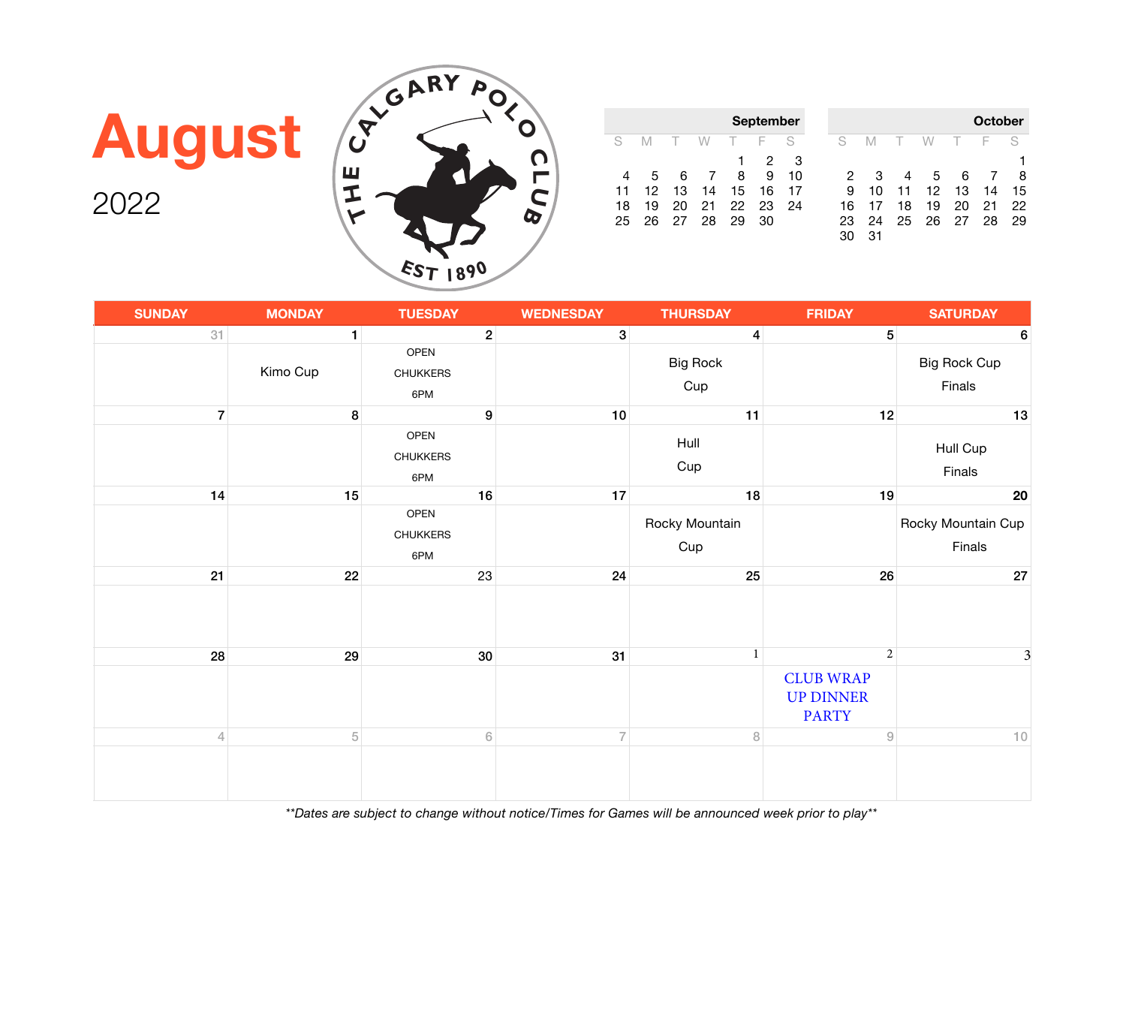

# **August**

2022

| <b>SUNDAY</b>  | <b>MONDAY</b> | <b>TUESDAY</b>                        | <b>WEDNESDAY</b> | <b>THURSDAY</b>        | <b>FRIDAY</b>                                             | <b>SATURDAY</b>               |
|----------------|---------------|---------------------------------------|------------------|------------------------|-----------------------------------------------------------|-------------------------------|
| 31             | $\mathbf{1}$  | $2\vert$                              | 3 <sup>1</sup>   | $\vert 4 \vert$        | 5 <sup>1</sup>                                            | $6\phantom{1}6$               |
|                | Kimo Cup      | OPEN<br><b>CHUKKERS</b><br>6PM        |                  | <b>Big Rock</b><br>Cup |                                                           | <b>Big Rock Cup</b><br>Finals |
| $\overline{7}$ | 8             | $\boldsymbol{9}$                      | 10               | 11                     | 12                                                        | 13                            |
|                |               | <b>OPEN</b><br><b>CHUKKERS</b><br>6PM |                  | Hull<br>Cup            |                                                           | Hull Cup<br>Finals            |
| 14             | 15            | 16                                    | $17$             | 18                     | 19                                                        | 20                            |
|                |               | OPEN<br><b>CHUKKERS</b><br>6PM        |                  | Rocky Mountain<br>Cup  |                                                           | Rocky Mountain Cup<br>Finals  |
| 21             | 22            | 23                                    | 24               | 25                     | 26                                                        | 27                            |
|                |               |                                       |                  |                        |                                                           |                               |
| 28             | 29            | 30                                    | 31               | $\mathbf{1}$           | $\overline{2}$                                            | 3                             |
|                |               |                                       |                  |                        | <b>CLUB WRAP</b><br><b>UP DINNER</b><br><b>PARTY</b>      |                               |
| $\overline{4}$ | $\,$ 5 $\,$   | $\,$ 6 $\,$                           | $\overline{7}$   | $\, 8$                 | $\mathcal{G}% _{M_{1},M_{2}}^{\alpha,\beta}(\varepsilon)$ | $10$                          |
|                |               |                                       |                  |                        |                                                           |                               |

**September**

**October**

S M T W T F S 31  $30$  31  $31$  32  $31$  3 4 5 6 7 8 10 11 12 13 14 15 16 17 18 19 20 21 24 25 26 27 28 29

30 31

S M T W T F S  $2<sup>8</sup>$  29  $3<sup>9</sup>$ 4 5 6 7 8 9 10 11 12 13 14 15 16 17

25 26 27 28 29 30

18 19 20 21 22<br>25 26 27 28 29

*\*\*Dates are subject to change without notice/Times for Games will be announced week prior to play\*\**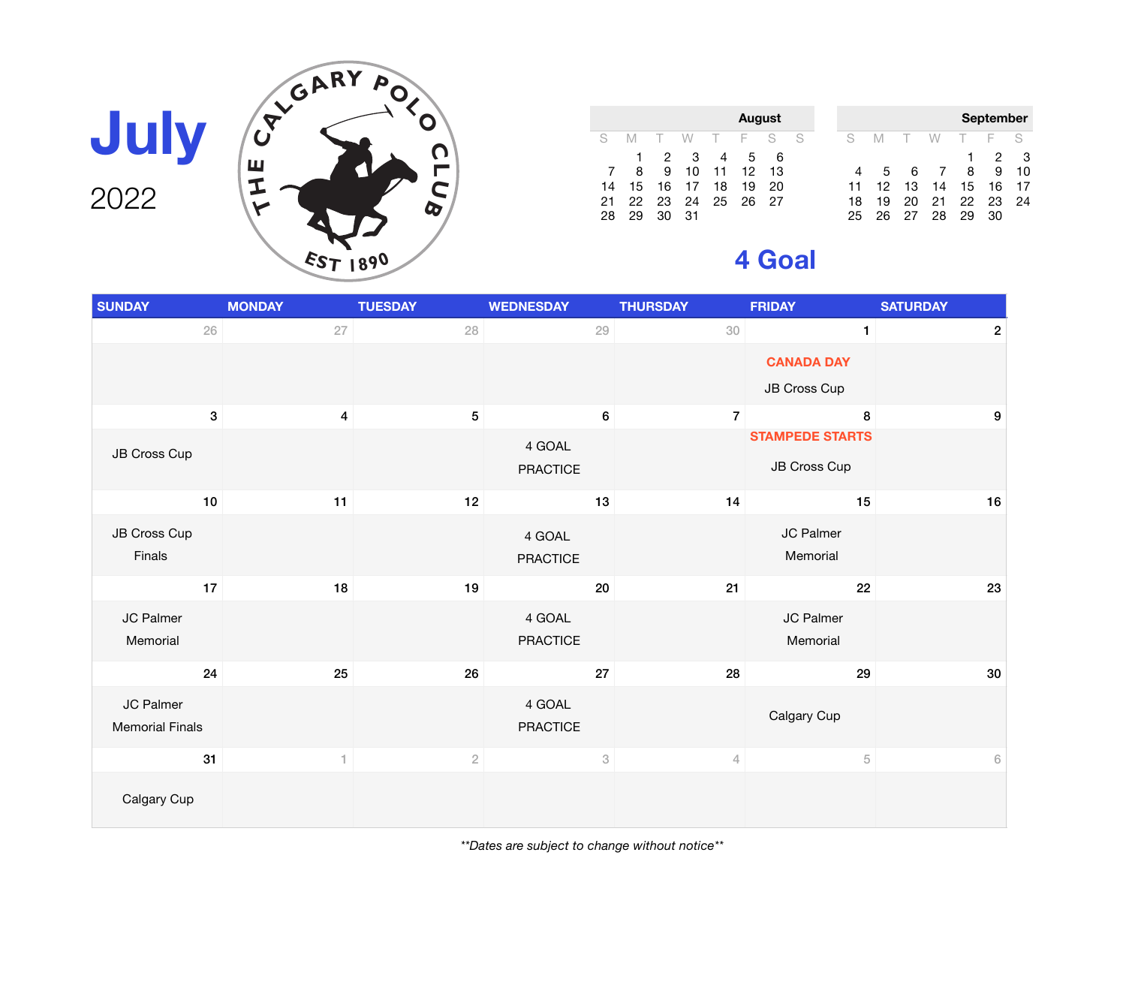

|    |    |   |                |          | <b>August</b> |      |    |
|----|----|---|----------------|----------|---------------|------|----|
| S. | M  |   | TWTFS          |          |               |      | -S |
|    | 1. |   | $2 \quad 3$    | 4        | 5             | 6    |    |
|    | 8  | 9 |                | 10 11 12 |               | 13   |    |
| 14 |    |   | 15 16 17 18    |          | 19            | 20   |    |
| 21 |    |   | 22 23 24 25 26 |          |               | - 27 |    |
|    |    |   | 31             |          |               |      |    |

|    |    |        |               |        | <b>September</b> |    |
|----|----|--------|---------------|--------|------------------|----|
| S  | M  | $\top$ | W             | $\top$ | -F               | S  |
|    |    |        |               |        | 2                | 3  |
| 4  | 5  | 6      | $\mathcal{I}$ | 8      | 9                | 10 |
| 11 | 12 | 13     | 14            | 15     | 16               | 17 |
| 18 | 19 | 20     | 21            | 22     | 23               | 24 |
| 25 | 26 | 27     | 28            | 29     | 30               |    |

## **4 Goal**

| <b>SUNDAY</b>                       | <b>MONDAY</b>           | <b>TUESDAY</b>  | <b>WEDNESDAY</b>          | <b>THURSDAY</b> | <b>FRIDAY</b>                     | <b>SATURDAY</b>  |
|-------------------------------------|-------------------------|-----------------|---------------------------|-----------------|-----------------------------------|------------------|
| $26\,$                              | 27                      | 28              | 29                        | 30              | $\mathbf{1}$                      | $\overline{2}$   |
|                                     |                         |                 |                           |                 | <b>CANADA DAY</b><br>JB Cross Cup |                  |
|                                     |                         |                 |                           |                 |                                   |                  |
| $\mathbf{3}$                        | $\overline{\mathbf{4}}$ | $5\phantom{.0}$ | $\bf 6$                   | $\overline{7}$  | 8<br><b>STAMPEDE STARTS</b>       | $\boldsymbol{9}$ |
| JB Cross Cup                        |                         |                 | 4 GOAL<br><b>PRACTICE</b> |                 | JB Cross Cup                      |                  |
| $10$                                | 11                      | 12              | 13                        | 14              | 15                                | 16               |
| JB Cross Cup<br>Finals              |                         |                 | 4 GOAL<br><b>PRACTICE</b> |                 | JC Palmer<br>Memorial             |                  |
| $17$                                | 18                      | 19              | 20                        | 21              | 22                                | 23               |
| JC Palmer<br>Memorial               |                         |                 | 4 GOAL<br><b>PRACTICE</b> |                 | JC Palmer<br>Memorial             |                  |
| 24                                  | 25                      | 26              | 27                        | 28              | 29                                | $30\,$           |
| JC Palmer<br><b>Memorial Finals</b> |                         |                 | 4 GOAL<br><b>PRACTICE</b> |                 | Calgary Cup                       |                  |
| 31                                  | 1                       | $\overline{2}$  | $\ensuremath{\mathbf{3}}$ | $\overline{4}$  | $\sqrt{5}$                        | $\,$ 6 $\,$      |
| Calgary Cup                         |                         |                 |                           |                 |                                   |                  |

*\*\*Dates are subject to change without notice\*\**